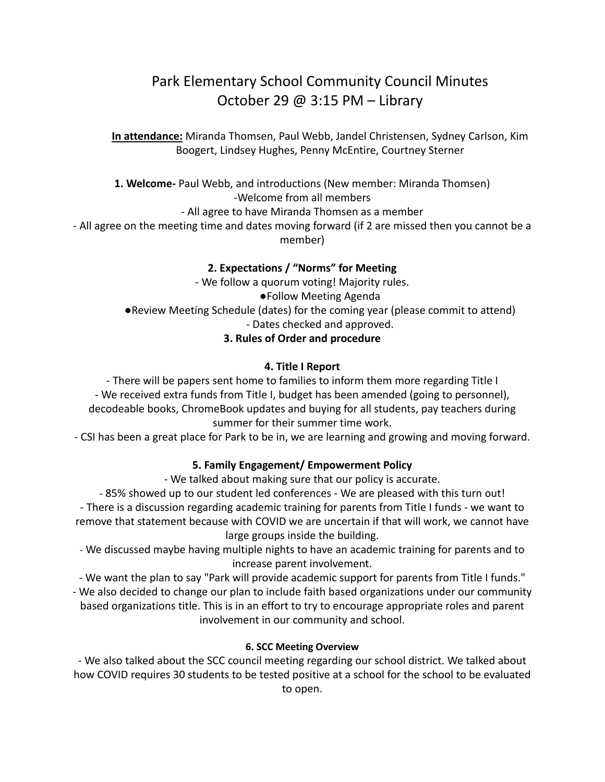# Park Elementary School Community Council Minutes October 29 @ 3:15 PM – Library

**In attendance:** Miranda Thomsen, Paul Webb, Jandel Christensen, Sydney Carlson, Kim Boogert, Lindsey Hughes, Penny McEntire, Courtney Sterner

**1. Welcome-** Paul Webb, and introductions (New member: Miranda Thomsen) -Welcome from all members

- All agree to have Miranda Thomsen as a member

- All agree on the meeting time and dates moving forward (if 2 are missed then you cannot be a member)

# **2. Expectations / "Norms" for Meeting**

- We follow a quorum voting! Majority rules. ●Follow Meeting Agenda ●Review Meeting Schedule (dates) for the coming year (please commit to attend) - Dates checked and approved.

#### **3. Rules of Order and procedure**

## **4. Title I Report**

- There will be papers sent home to families to inform them more regarding Title I - We received extra funds from Title I, budget has been amended (going to personnel), decodeable books, ChromeBook updates and buying for all students, pay teachers during summer for their summer time work.

- CSI has been a great place for Park to be in, we are learning and growing and moving forward.

# **5. Family Engagement/ Empowerment Policy**

- We talked about making sure that our policy is accurate.

- 85% showed up to our student led conferences - We are pleased with this turn out! - There is a discussion regarding academic training for parents from Title I funds - we want to remove that statement because with COVID we are uncertain if that will work, we cannot have large groups inside the building.

- We discussed maybe having multiple nights to have an academic training for parents and to increase parent involvement.

- We want the plan to say "Park will provide academic support for parents from Title I funds." - We also decided to change our plan to include faith based organizations under our community based organizations title. This is in an effort to try to encourage appropriate roles and parent involvement in our community and school.

#### **6. SCC Meeting Overview**

- We also talked about the SCC council meeting regarding our school district. We talked about how COVID requires 30 students to be tested positive at a school for the school to be evaluated to open.